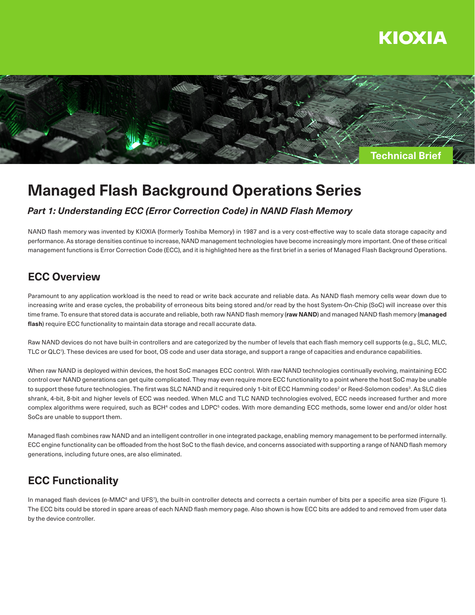



# **Managed Flash Background Operations Series**

### *Part 1: Understanding ECC (Error Correction Code) in NAND Flash Memory*

NAND flash memory was invented by KIOXIA (formerly Toshiba Memory) in 1987 and is a very cost-effective way to scale data storage capacity and performance. As storage densities continue to increase, NAND management technologies have become increasingly more important. One of these critical management functions is Error Correction Code (ECC), and it is highlighted here as the first brief in a series of Managed Flash Background Operations.

## **ECC Overview**

Paramount to any application workload is the need to read or write back accurate and reliable data. As NAND flash memory cells wear down due to increasing write and erase cycles, the probability of erroneous bits being stored and/or read by the host System-On-Chip (SoC) will increase over this time frame. To ensure that stored data is accurate and reliable, both raw NAND flash memory (**raw NAND**) and managed NAND flash memory (**managed flash**) require ECC functionality to maintain data storage and recall accurate data.

Raw NAND devices do not have built-in controllers and are categorized by the number of levels that each flash memory cell supports (e.g., SLC, MLC, TLC or QLC1 ). These devices are used for boot, OS code and user data storage, and support a range of capacities and endurance capabilities.

When raw NAND is deployed within devices, the host SoC manages ECC control. With raw NAND technologies continually evolving, maintaining ECC control over NAND generations can get quite complicated. They may even require more ECC functionality to a point where the host SoC may be unable to support these future technologies. The first was SLC NAND and it required only 1-bit of ECC Hamming codes<sup>2</sup> or Reed-Solomon codes<sup>3</sup>. As SLC dies shrank, 4-bit, 8-bit and higher levels of ECC was needed. When MLC and TLC NAND technologies evolved, ECC needs increased further and more complex algorithms were required, such as BCH<sup>4</sup> codes and LDPC<sup>5</sup> codes. With more demanding ECC methods, some lower end and/or older host SoCs are unable to support them.

Managed flash combines raw NAND and an intelligent controller in one integrated package, enabling memory management to be performed internally. ECC engine functionality can be offloaded from the host SoC to the flash device, and concerns associated with supporting a range of NAND flash memory generations, including future ones, are also eliminated.

# **ECC Functionality**

In managed flash devices (e-MMC<sup>6</sup> and UFS<sup>7</sup>), the built-in controller detects and corrects a certain number of bits per a specific area size (Figure 1). The ECC bits could be stored in spare areas of each NAND flash memory page. Also shown is how ECC bits are added to and removed from user data by the device controller.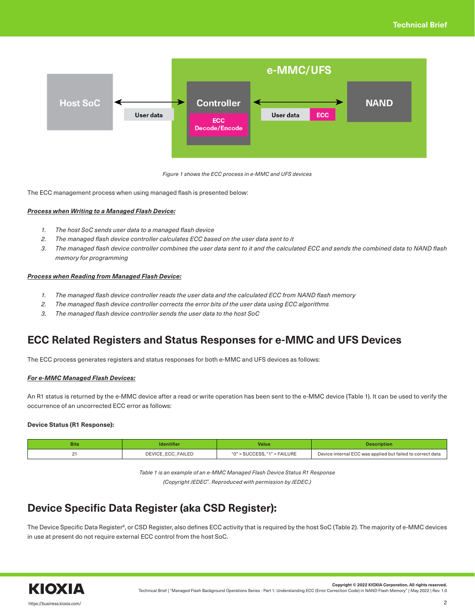

*Figure 1 shows the ECC process in e-MMC and UFS devices*

The ECC management process when using managed flash is presented below:

### *Process when Writing to a Managed Flash Device:*

- *1. The host SoC sends user data to a managed flash device*
- *2. The managed flash device controller calculates ECC based on the user data sent to it*
- *3. The managed flash device controller combines the user data sent to it and the calculated ECC and sends the combined data to NAND flash memory for programming*

### *Process when Reading from Managed Flash Device:*

- *1. The managed flash device controller reads the user data and the calculated ECC from NAND flash memory*
- *2. The managed flash device controller corrects the error bits of the user data using ECC algorithms*
- *3. The managed flash device controller sends the user data to the host SoC*

# **ECC Related Registers and Status Responses for e-MMC and UFS Devices**

The ECC process generates registers and status responses for both e-MMC and UFS devices as follows:

### *For e-MMC Managed Flash Devices:*

An R1 status is returned by the e-MMC device after a read or write operation has been sent to the e-MMC device (Table 1). It can be used to verify the occurrence of an uncorrected ECC error as follows:

### **Device Status (R1 Response):**

| <b>Bits</b><br><b>Identifier</b> |                   | Value                        | <b>Description</b>                                         |  |
|----------------------------------|-------------------|------------------------------|------------------------------------------------------------|--|
|                                  | DEVICE_ECC_FAILED | "0" = SUCCESS. "1" = FAILURE | Device internal ECC was applied but failed to correct data |  |

*Table 1 is an example of an e-MMC Managed Flash Device Status R1 Response (Copyright JEDEC®. Reproduced with permission by JEDEC.)*

# **Device Specific Data Register (aka CSD Register):**

The Device Specific Data Register<sup>8</sup>, or CSD Register, also defines ECC activity that is required by the host SoC (Table 2). The majority of e-MMC devices in use at present do not require external ECC control from the host SoC.



**Copyright © 2022 KIOXIA Corporation. All rights reserved.**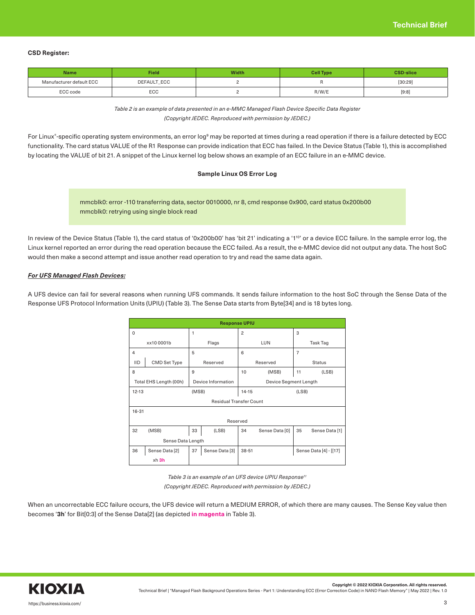#### **CSD Register:**

| Field<br><b>Name</b>     |             | Width | Cell Type | <b>CSD-slice</b> |  |
|--------------------------|-------------|-------|-----------|------------------|--|
| Manufacturer default ECC | DEFAULT_ECC |       |           | [30:29]          |  |
| ECC code                 | ECC         |       | R/W/E     | [9:8]            |  |

*Table 2 is an example of data presented in an e-MMC Managed Flash Device Specific Data Register (Copyright JEDEC. Reproduced with permission by JEDEC.)*

For Linux®-specific operating system environments, an error log® may be reported at times during a read operation if there is a failure detected by ECC functionality. The card status VALUE of the R1 Response can provide indication that ECC has failed. In the Device Status (Table 1), this is accomplished by locating the VALUE of bit 21. A snippet of the Linux kernel log below shows an example of an ECC failure in an e-MMC device.

### **Sample Linux OS Error Log**

mmcblk0: error -110 transferring data, sector 0010000, nr 8, cmd response 0x900, card status 0x200b00 mmcblk0: retrying using single block read

In review of the Device Status (Table 1), the card status of '0x200b00' has 'bit 21' indicating a '1<sup>10</sup>' or a device ECC failure. In the sample error log, the Linux kernel reported an error during the read operation because the ECC failed. As a result, the e-MMC device did not output any data. The host SoC would then make a second attempt and issue another read operation to try and read the same data again.

#### *For UFS Managed Flash Devices:*

A UFS device can fail for several reasons when running UFS commands. It sends failure information to the host SoC through the Sense Data of the Response UFS Protocol Information Units (UPIU) (Table 3). The Sense Data starts from Byte[34] and is 18 bytes long.

| <b>Response UPIU</b>           |                        |       |                    |                       |                |                |                        |  |  |
|--------------------------------|------------------------|-------|--------------------|-----------------------|----------------|----------------|------------------------|--|--|
| 0                              |                        | 1     |                    | $\overline{c}$        |                | 3              |                        |  |  |
| xx100001b                      |                        | Flags | LUN                |                       | Task Tag       |                |                        |  |  |
| $\overline{4}$                 |                        | 5     |                    | 6                     |                | $\overline{7}$ |                        |  |  |
| <b>IID</b>                     | CMD Set Type           |       | Reserved           |                       | Reserved       |                | <b>Status</b>          |  |  |
| 8                              |                        | 9     |                    | 10                    | (MSB)          | 11             | (LSB)                  |  |  |
|                                | Total EHS Length (00h) |       | Device Information | Device Segment Length |                |                |                        |  |  |
| $12 - 13$                      | (MSB)                  |       | $14 - 15$          | (LSB)                 |                |                |                        |  |  |
| <b>Residual Transfer Count</b> |                        |       |                    |                       |                |                |                        |  |  |
| $16 - 31$                      |                        |       |                    |                       |                |                |                        |  |  |
| Reserved                       |                        |       |                    |                       |                |                |                        |  |  |
| 32                             | (MSB)                  | 33    | (LSB)              | 34                    | Sense Data [0] | 35             | Sense Data [1]         |  |  |
| Sense Data Length              |                        |       |                    |                       |                |                |                        |  |  |
| 36                             | Sense Data [2]         | 37    | Sense Data [3]     | $38 - 51$             |                |                | Sense Data [4] - [[17] |  |  |
|                                | xh 3h                  |       |                    |                       |                |                |                        |  |  |

*Table 3 is an example of an UFS device UPIU Response11* 

*(Copyright JEDEC. Reproduced with permission by JEDEC.)*

When an uncorrectable ECC failure occurs, the UFS device will return a MEDIUM ERROR, of which there are many causes. The Sense Key value then becomes '**3h**' for Bit[0:3] of the Sense Data[2] (as depicted **in magenta** in Table 3).

**Copyright © 2022 KIOXIA Corporation. All rights reserved.**

Technical Brief | "Managed Flash Background Operations Series - Part 1: Understanding ECC (Error Correction Code) in NAND Flash Memory" | May 2022 | Rev. 1.0